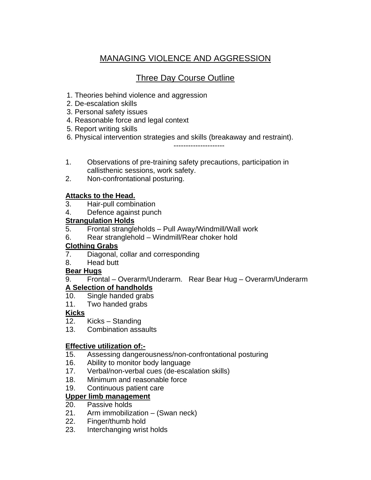# MANAGING VIOLENCE AND AGGRESSION

# Three Day Course Outline

- 1. Theories behind violence and aggression
- 2. De-escalation skills
- 3. Personal safety issues
- 4. Reasonable force and legal context
- 5. Report writing skills
- 6. Physical intervention strategies and skills (breakaway and restraint).

---------------------

- 1. Observations of pre-training safety precautions, participation in callisthenic sessions, work safety.
- 2. Non-confrontational posturing.

# **Attacks to the Head.**

- 3. Hair-pull combination
- 4. Defence against punch

# **Strangulation Holds**

- 5. Frontal strangleholds Pull Away/Windmill/Wall work
- 6. Rear stranglehold Windmill/Rear choker hold

# **Clothing Grabs**

- 7. Diagonal, collar and corresponding
- 8. Head butt

# **Bear Hugs**

# 9. Frontal – Overarm/Underarm. Rear Bear Hug – Overarm/Underarm

# **A Selection of handholds**

- 10. Single handed grabs
- 11. Two handed grabs

# **Kicks**

- 12. Kicks Standing
- 13. Combination assaults

# **Effective utilization of:-**

- 15. Assessing dangerousness/non-confrontational posturing
- 16. Ability to monitor body language
- 17. Verbal/non-verbal cues (de-escalation skills)
- 18. Minimum and reasonable force
- 19. Continuous patient care

#### **Upper limb management**

- 20. Passive holds
- 21. Arm immobilization (Swan neck)
- 22. Finger/thumb hold
- 23. Interchanging wrist holds